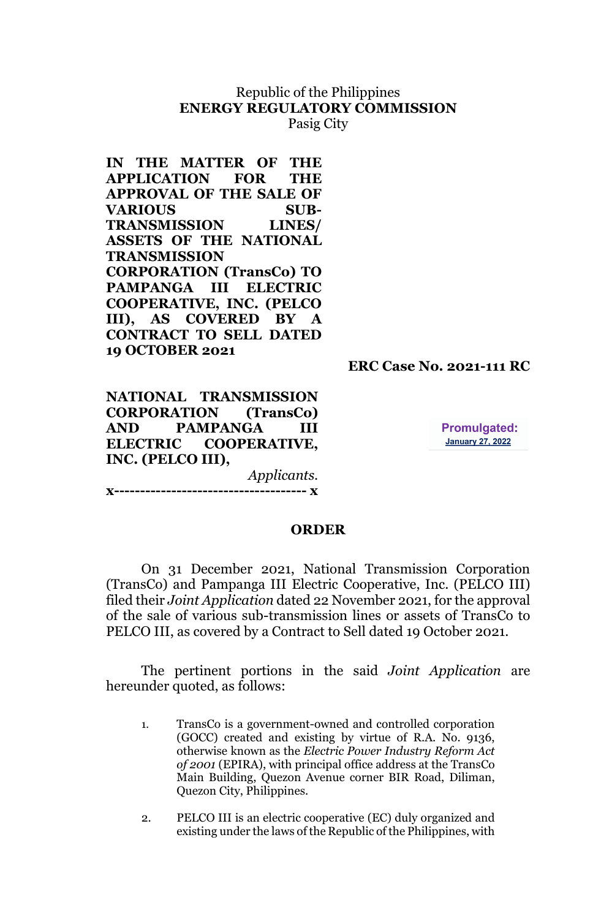# Republic of the Philippines **ENERGY REGULATORY COMMISSION**

Pasig City

**IN THE MATTER OF THE APPLICATION FOR THE APPROVAL OF THE SALE OF VARIOUS SUB-TRANSMISSION LINES/ ASSETS OF THE NATIONAL TRANSMISSION CORPORATION (TransCo) TO PAMPANGA III ELECTRIC COOPERATIVE, INC. (PELCO III), AS COVERED BY A CONTRACT TO SELL DATED 19 OCTOBER 2021**

 **ERC Case No. 2021-111 RC**

**NATIONAL TRANSMISSION CORPORATION (TransCo) AND PAMPANGA III ELECTRIC COOPERATIVE, INC. (PELCO III),** *Applicants*.

**Promulgated: January 27, 2022** 

**x------------------------------------- x**

#### **ORDER**

On 31 December 2021, National Transmission Corporation (TransCo) and Pampanga III Electric Cooperative, Inc. (PELCO III) filed their *Joint Application* dated 22 November 2021, for the approval of the sale of various sub-transmission lines or assets of TransCo to PELCO III, as covered by a Contract to Sell dated 19 October 2021.

The pertinent portions in the said *Joint Application* are hereunder quoted, as follows:

- 1. TransCo is a government-owned and controlled corporation (GOCC) created and existing by virtue of R.A. No. 9136, otherwise known as the *Electric Power Industry Reform Act of 2001* (EPIRA), with principal office address at the TransCo Main Building, Quezon Avenue corner BIR Road, Diliman, Quezon City, Philippines.
- 2. PELCO III is an electric cooperative (EC) duly organized and existing under the laws of the Republic of the Philippines, with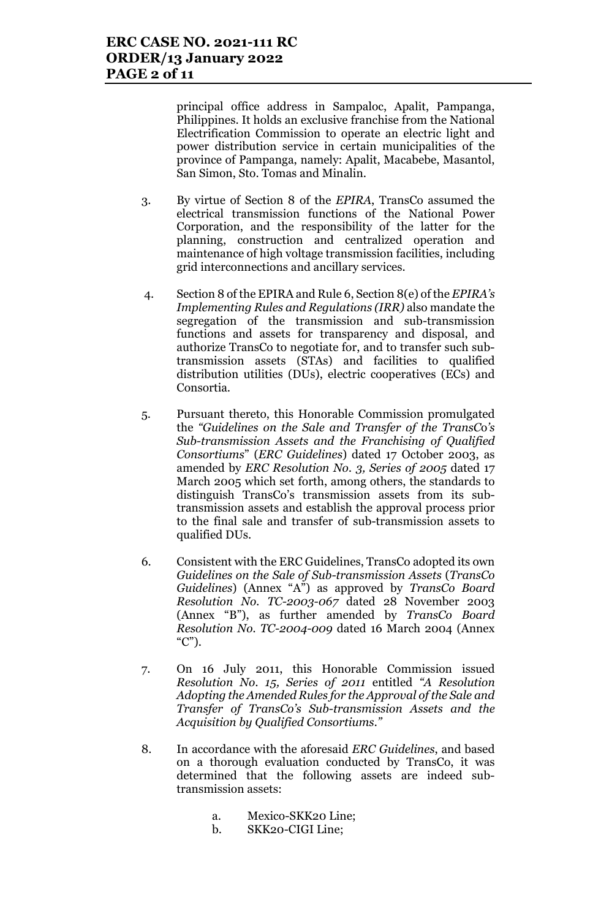principal office address in Sampaloc, Apalit, Pampanga, Philippines. It holds an exclusive franchise from the National Electrification Commission to operate an electric light and power distribution service in certain municipalities of the province of Pampanga, namely: Apalit, Macabebe, Masantol, San Simon, Sto. Tomas and Minalin.

- 3. By virtue of Section 8 of the *EPIRA*, TransCo assumed the electrical transmission functions of the National Power Corporation, and the responsibility of the latter for the planning, construction and centralized operation and maintenance of high voltage transmission facilities, including grid interconnections and ancillary services.
- 4. Section 8 of the EPIRA and Rule 6, Section 8(e) of the *EPIRA's Implementing Rules and Regulations (IRR)* also mandate the segregation of the transmission and sub-transmission functions and assets for transparency and disposal, and authorize TransCo to negotiate for, and to transfer such subtransmission assets (STAs) and facilities to qualified distribution utilities (DUs), electric cooperatives (ECs) and Consortia.
- 5. Pursuant thereto, this Honorable Commission promulgated the *"Guidelines on the Sale and Transfer of the TransC*o*'s Sub-transmission Assets and the Franchising of Qualified Consortiums*" (*ERC Guidelines*) dated 17 October 2003, as amended by *ERC Resolution No. 3, Series of 2005* dated 17 March 2005 which set forth, among others, the standards to distinguish TransCo's transmission assets from its subtransmission assets and establish the approval process prior to the final sale and transfer of sub-transmission assets to qualified DUs.
- 6. Consistent with the ERC Guidelines, TransCo adopted its own *Guidelines on the Sale of Sub-transmission Assets* (*TransCo Guidelines*) (Annex "A") as approved by *TransCo Board Resolution No. TC-2003-067* dated 28 November 2003 (Annex "B"), as further amended by *TransCo Board Resolution No. TC-2004-009* dated 16 March 2004 (Annex  $(C")$ .
- 7. On 16 July 2011, this Honorable Commission issued *Resolution No. 15, Series of 2011* entitled *"A Resolution Adopting the Amended Rules for the Approval of the Sale and Transfer of TransCo's Sub-transmission Assets and the Acquisition by Qualified Consortiums."*
- 8. In accordance with the aforesaid *ERC Guidelines*, and based on a thorough evaluation conducted by TransCo, it was determined that the following assets are indeed subtransmission assets:
	- a. Mexico-SKK20 Line;
	- b. SKK20-CIGI Line;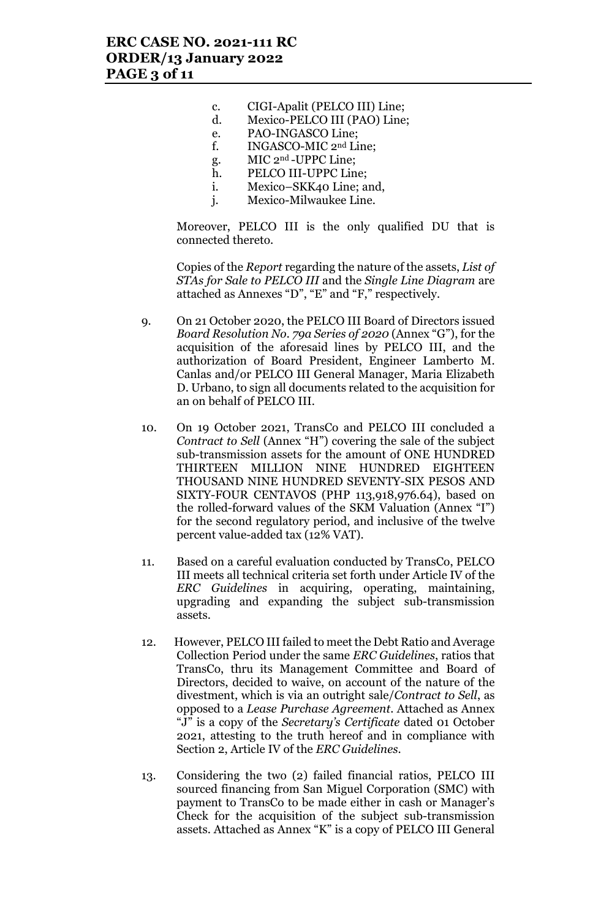- c. CIGI-Apalit (PELCO III) Line;
- d. Mexico-PELCO III (PAO) Line;
- e. PAO-INGASCO Line;
- f. INGASCO-MIC 2nd Line;
- g. MIC 2nd -UPPC Line;
- h. PELCO III-UPPC Line;
- i. Mexico–SKK40 Line; and,
- j. Mexico-Milwaukee Line.

Moreover, PELCO III is the only qualified DU that is connected thereto.

Copies of the *Report* regarding the nature of the assets, *List of STAs for Sale to PELCO III* and the *Single Line Diagram* are attached as Annexes "D", "E" and "F," respectively.

- 9. On 21 October 2020, the PELCO III Board of Directors issued *Board Resolution No. 79a Series of 2020* (Annex "G"), for the acquisition of the aforesaid lines by PELCO III, and the authorization of Board President, Engineer Lamberto M. Canlas and/or PELCO III General Manager, Maria Elizabeth D. Urbano, to sign all documents related to the acquisition for an on behalf of PELCO III.
- 10. On 19 October 2021, TransCo and PELCO III concluded a *Contract to Sell* (Annex "H") covering the sale of the subject sub-transmission assets for the amount of ONE HUNDRED THIRTEEN MILLION NINE HUNDRED EIGHTEEN THOUSAND NINE HUNDRED SEVENTY-SIX PESOS AND SIXTY-FOUR CENTAVOS (PHP 113,918,976.64), based on the rolled-forward values of the SKM Valuation (Annex "I") for the second regulatory period, and inclusive of the twelve percent value-added tax (12% VAT).
- 11. Based on a careful evaluation conducted by TransCo, PELCO III meets all technical criteria set forth under Article IV of the *ERC Guidelines* in acquiring, operating, maintaining, upgrading and expanding the subject sub-transmission assets.
- 12. However, PELCO III failed to meet the Debt Ratio and Average Collection Period under the same *ERC Guidelines*, ratios that TransCo, thru its Management Committee and Board of Directors, decided to waive, on account of the nature of the divestment, which is via an outright sale/*Contract to Sell*, as opposed to a *Lease Purchase Agreement*. Attached as Annex "J" is a copy of the *Secretary's Certificate* dated 01 October 2021, attesting to the truth hereof and in compliance with Section 2, Article IV of the *ERC Guidelines*.
- 13. Considering the two (2) failed financial ratios, PELCO III sourced financing from San Miguel Corporation (SMC) with payment to TransCo to be made either in cash or Manager's Check for the acquisition of the subject sub-transmission assets. Attached as Annex "K" is a copy of PELCO III General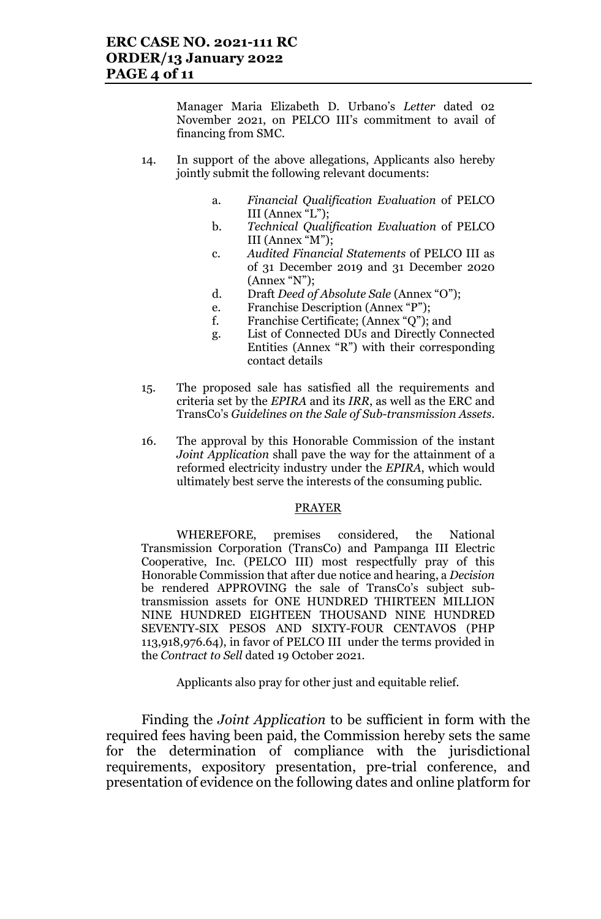Manager Maria Elizabeth D. Urbano's *Letter* dated 02 November 2021, on PELCO III's commitment to avail of financing from SMC.

- 14. In support of the above allegations, Applicants also hereby jointly submit the following relevant documents:
	- a. *Financial Qualification Evaluation* of PELCO III (Annex "L");
	- b. *Technical Qualification Evaluation* of PELCO III (Annex "M");
	- c. *Audited Financial Statements* of PELCO III as of 31 December 2019 and 31 December 2020 (Annex "N");
	- d. Draft *Deed of Absolute Sale* (Annex "O");
	- e. Franchise Description (Annex "P");
	- f. Franchise Certificate; (Annex "Q"); and
	- g. List of Connected DUs and Directly Connected Entities (Annex "R") with their corresponding contact details
- 15. The proposed sale has satisfied all the requirements and criteria set by the *EPIRA* and its *IRR*, as well as the ERC and TransCo's *Guidelines on the Sale of Sub-transmission Assets.*
- 16. The approval by this Honorable Commission of the instant *Joint Application* shall pave the way for the attainment of a reformed electricity industry under the *EPIRA*, which would ultimately best serve the interests of the consuming public.

#### PRAYER

WHEREFORE, premises considered, the National Transmission Corporation (TransCo) and Pampanga III Electric Cooperative, Inc. (PELCO III) most respectfully pray of this Honorable Commission that after due notice and hearing, a *Decision* be rendered APPROVING the sale of TransCo's subject subtransmission assets for ONE HUNDRED THIRTEEN MILLION NINE HUNDRED EIGHTEEN THOUSAND NINE HUNDRED SEVENTY-SIX PESOS AND SIXTY-FOUR CENTAVOS (PHP 113,918,976.64), in favor of PELCO III under the terms provided in the *Contract to Sell* dated 19 October 2021.

Applicants also pray for other just and equitable relief.

Finding the *Joint Application* to be sufficient in form with the required fees having been paid, the Commission hereby sets the same for the determination of compliance with the jurisdictional requirements, expository presentation, pre-trial conference, and presentation of evidence on the following dates and online platform for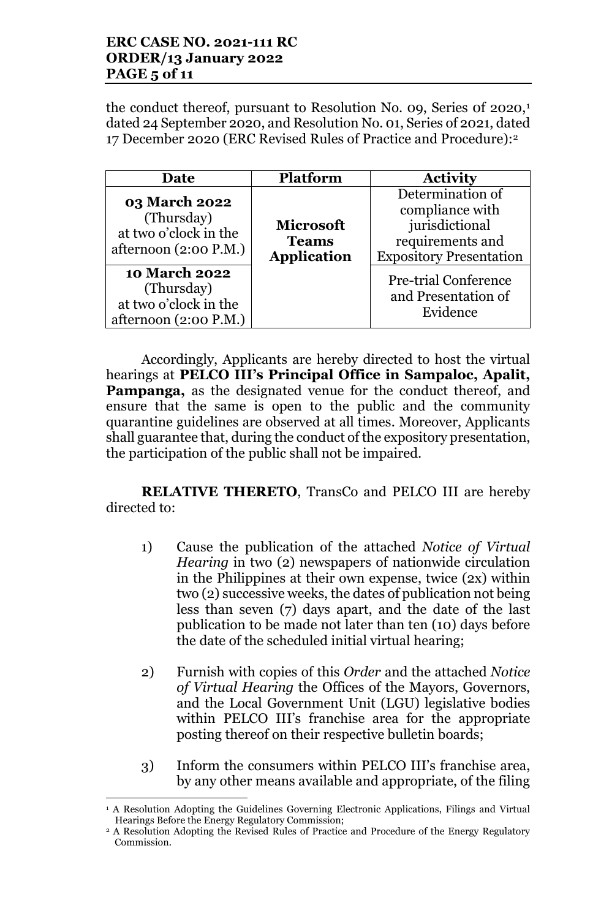### **ERC CASE NO. 2021-111 RC ORDER/13 January 2022 PAGE 5 of 11**

the conduct thereof, pursuant to Resolution No. 09, Series of 2020,<sup>1</sup> dated 24 September 2020, and Resolution No. 01, Series of 2021, dated 17 December 2020 (ERC Revised Rules of Practice and Procedure):2

| Date                                                                                   | <b>Platform</b>                                        | <b>Activity</b>                                                                                             |
|----------------------------------------------------------------------------------------|--------------------------------------------------------|-------------------------------------------------------------------------------------------------------------|
| <b>03 March 2022</b><br>(Thursday)<br>at two o'clock in the<br>afternoon $(2:00 P.M.)$ | <b>Microsoft</b><br><b>Teams</b><br><b>Application</b> | Determination of<br>compliance with<br>jurisdictional<br>requirements and<br><b>Expository Presentation</b> |
| <b>10 March 2022</b><br>(Thursday)<br>at two o'clock in the<br>afternoon (2:00 P.M.)   |                                                        | <b>Pre-trial Conference</b><br>and Presentation of<br>Evidence                                              |

Accordingly, Applicants are hereby directed to host the virtual hearings at **PELCO III's Principal Office in Sampaloc, Apalit, Pampanga,** as the designated venue for the conduct thereof, and ensure that the same is open to the public and the community quarantine guidelines are observed at all times. Moreover, Applicants shall guarantee that, during the conduct of the expository presentation, the participation of the public shall not be impaired.

**RELATIVE THERETO**, TransCo and PELCO III are hereby directed to:

- 1) Cause the publication of the attached *Notice of Virtual Hearing* in two (2) newspapers of nationwide circulation in the Philippines at their own expense, twice (2x) within two (2) successive weeks, the dates of publication not being less than seven (7) days apart, and the date of the last publication to be made not later than ten (10) days before the date of the scheduled initial virtual hearing;
- 2) Furnish with copies of this *Order* and the attached *Notice of Virtual Hearing* the Offices of the Mayors, Governors, and the Local Government Unit (LGU) legislative bodies within PELCO III's franchise area for the appropriate posting thereof on their respective bulletin boards;
- 3) Inform the consumers within PELCO III's franchise area, by any other means available and appropriate, of the filing

l

<sup>1</sup> A Resolution Adopting the Guidelines Governing Electronic Applications, Filings and Virtual Hearings Before the Energy Regulatory Commission;

<sup>&</sup>lt;sup>2</sup> A Resolution Adopting the Revised Rules of Practice and Procedure of the Energy Regulatory Commission.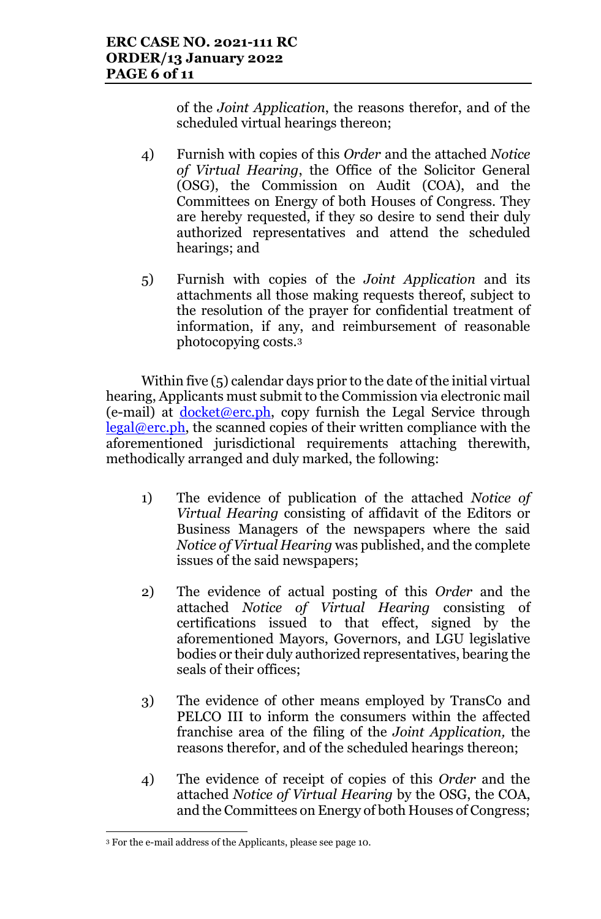of the *Joint Application*, the reasons therefor, and of the scheduled virtual hearings thereon;

- 4) Furnish with copies of this *Order* and the attached *Notice of Virtual Hearing*, the Office of the Solicitor General (OSG), the Commission on Audit (COA), and the Committees on Energy of both Houses of Congress. They are hereby requested, if they so desire to send their duly authorized representatives and attend the scheduled hearings; and
- 5) Furnish with copies of the *Joint Application* and its attachments all those making requests thereof, subject to the resolution of the prayer for confidential treatment of information, if any, and reimbursement of reasonable photocopying costs.3

Within five (5) calendar days prior to the date of the initial virtual hearing, Applicants must submit to the Commission via electronic mail  $(e-mail)$  at docket@erc.ph, copy furnish the Legal Service through  $\text{legal@erc.ph},$  the scanned copies of their written compliance with the aforementioned jurisdictional requirements attaching therewith, methodically arranged and duly marked, the following:

- 1) The evidence of publication of the attached *Notice of Virtual Hearing* consisting of affidavit of the Editors or Business Managers of the newspapers where the said *Notice of Virtual Hearing* was published, and the complete issues of the said newspapers;
- 2) The evidence of actual posting of this *Order* and the attached *Notice of Virtual Hearing* consisting of certifications issued to that effect, signed by the aforementioned Mayors, Governors, and LGU legislative bodies or their duly authorized representatives, bearing the seals of their offices;
- 3) The evidence of other means employed by TransCo and PELCO III to inform the consumers within the affected franchise area of the filing of the *Joint Application,* the reasons therefor, and of the scheduled hearings thereon;
- 4) The evidence of receipt of copies of this *Order* and the attached *Notice of Virtual Hearing* by the OSG, the COA, and the Committees on Energy of both Houses of Congress;

l <sup>3</sup> For the e-mail address of the Applicants, please see page 10.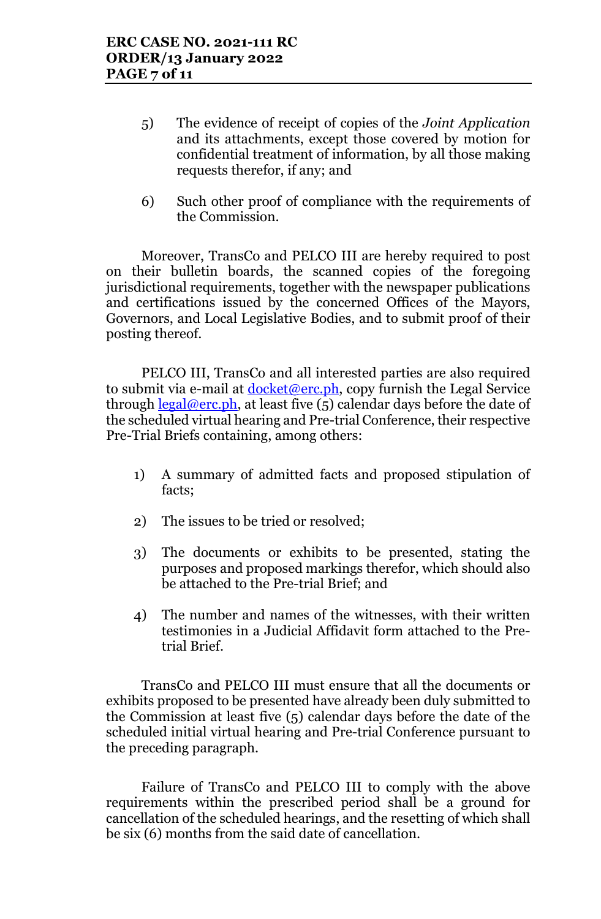- 5) The evidence of receipt of copies of the *Joint Application* and its attachments, except those covered by motion for confidential treatment of information, by all those making requests therefor, if any; and
- 6) Such other proof of compliance with the requirements of the Commission.

Moreover, TransCo and PELCO III are hereby required to post on their bulletin boards, the scanned copies of the foregoing jurisdictional requirements, together with the newspaper publications and certifications issued by the concerned Offices of the Mayors, Governors, and Local Legislative Bodies, and to submit proof of their posting thereof.

PELCO III, TransCo and all interested parties are also required to submit via e-mail at  $doeket@erc.ph$ , copy furnish the Legal Service through legal@erc.ph, at least five  $(5)$  calendar days before the date of the scheduled virtual hearing and Pre-trial Conference, their respective Pre-Trial Briefs containing, among others:

- 1) A summary of admitted facts and proposed stipulation of facts;
- 2) The issues to be tried or resolved;
- 3) The documents or exhibits to be presented, stating the purposes and proposed markings therefor, which should also be attached to the Pre-trial Brief; and
- 4) The number and names of the witnesses, with their written testimonies in a Judicial Affidavit form attached to the Pretrial Brief.

TransCo and PELCO III must ensure that all the documents or exhibits proposed to be presented have already been duly submitted to the Commission at least five (5) calendar days before the date of the scheduled initial virtual hearing and Pre-trial Conference pursuant to the preceding paragraph.

Failure of TransCo and PELCO III to comply with the above requirements within the prescribed period shall be a ground for cancellation of the scheduled hearings, and the resetting of which shall be six (6) months from the said date of cancellation.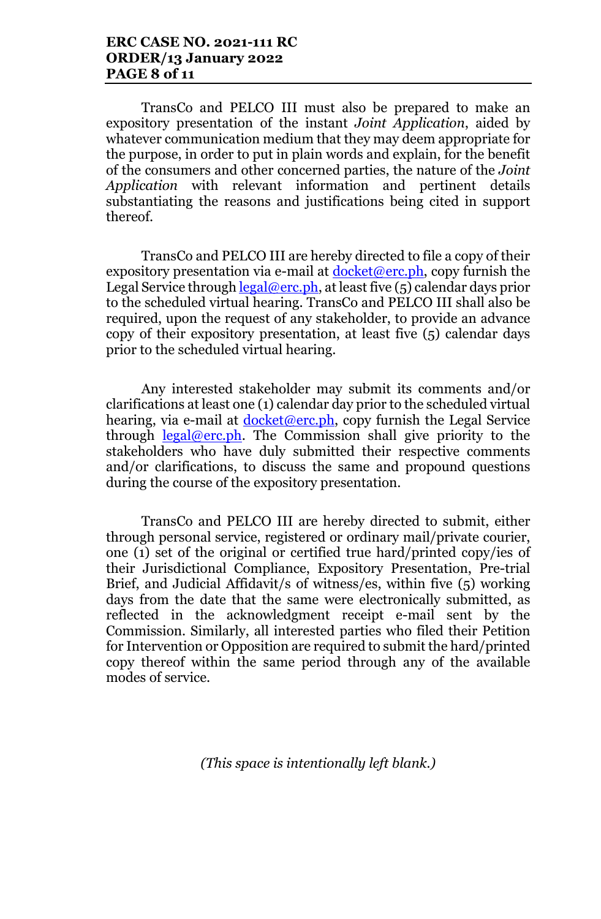TransCo and PELCO III must also be prepared to make an expository presentation of the instant *Joint Application*, aided by whatever communication medium that they may deem appropriate for the purpose, in order to put in plain words and explain, for the benefit of the consumers and other concerned parties, the nature of the *Joint Application* with relevant information and pertinent details substantiating the reasons and justifications being cited in support thereof.

TransCo and PELCO III are hereby directed to file a copy of their expository presentation via e-mail at  $d$ ocket@erc.ph, copy furnish the Legal Service through  $\text{legal@erc.ph.}$  at least five (5) calendar days prior to the scheduled virtual hearing. TransCo and PELCO III shall also be required, upon the request of any stakeholder, to provide an advance copy of their expository presentation, at least five (5) calendar days prior to the scheduled virtual hearing.

Any interested stakeholder may submit its comments and/or clarifications at least one (1) calendar day prior to the scheduled virtual hearing, via e-mail at  $\frac{\text{docket}(\omega \text{erc}, ph)}{\text{op}}$ , copy furnish the Legal Service through  $\text{legal@erc.ph.}$  The Commission shall give priority to the stakeholders who have duly submitted their respective comments and/or clarifications, to discuss the same and propound questions during the course of the expository presentation.

TransCo and PELCO III are hereby directed to submit, either through personal service, registered or ordinary mail/private courier, one (1) set of the original or certified true hard/printed copy/ies of their Jurisdictional Compliance, Expository Presentation, Pre-trial Brief, and Judicial Affidavit/s of witness/es, within five (5) working days from the date that the same were electronically submitted, as reflected in the acknowledgment receipt e-mail sent by the Commission. Similarly, all interested parties who filed their Petition for Intervention or Opposition are required to submit the hard/printed copy thereof within the same period through any of the available modes of service.

*(This space is intentionally left blank.)*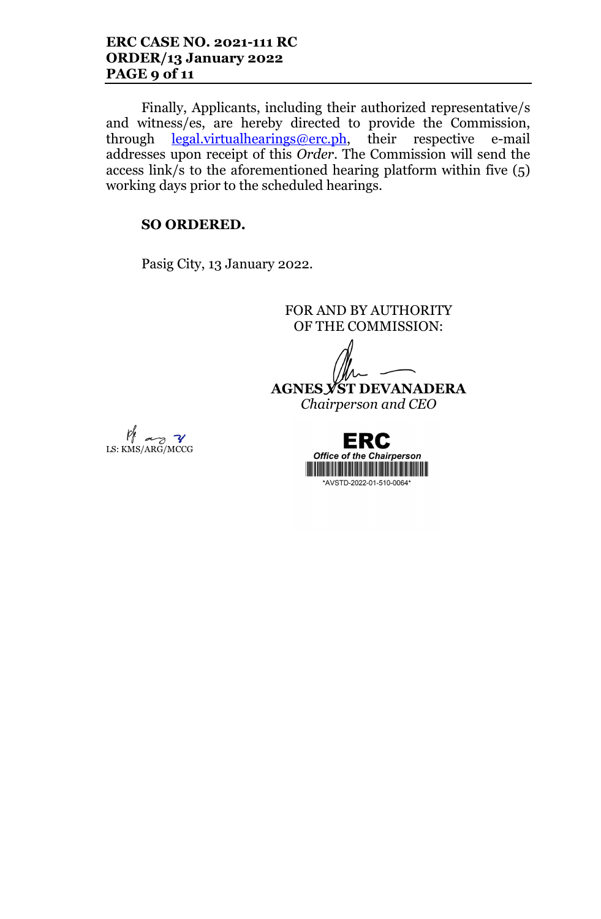Finally, Applicants, including their authorized representative/s and witness/es, are hereby directed to provide the Commission, through <u>legal.virtualhearings@erc.ph,</u> their respective e-mail addresses upon receipt of this *Order*. The Commission will send the access link/s to the aforementioned hearing platform within five (5) working days prior to the scheduled hearings.

#### **SO ORDERED.**

Pasig City, 13 January 2022.

FOR AND BY AUTHORITY OF THE COMMISSION:

**AGNES VST DEVANADERA**

*Chairperson and CEO*



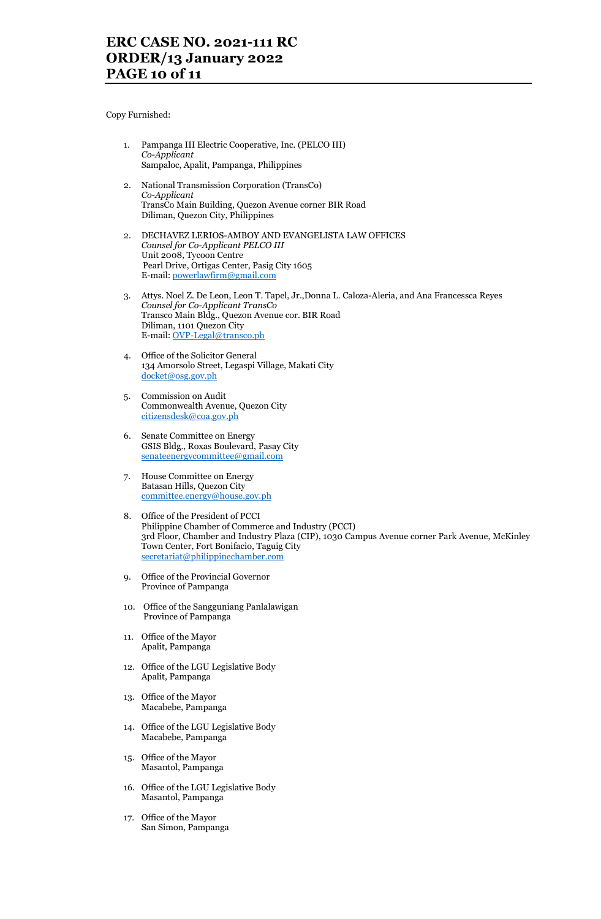Copy Furnished:

- 1. Pampanga III Electric Cooperative, Inc. (PELCO III) *Co-Applicant* Sampaloc, Apalit, Pampanga, Philippines
- 2. National Transmission Corporation (TransCo) *Co-Applicant* TransCo Main Building, Quezon Avenue corner BIR Road Diliman, Quezon City, Philippines
- 2. DECHAVEZ LERIOS-AMBOY AND EVANGELISTA LAW OFFICES *Counsel for Co-Applicant PELCO III* Unit 2008, Tycoon Centre Pearl Drive, Ortigas Center, Pasig City 1605 E-mail: powerlawfirm@gmail.com
- 3. Attys. Noel Z. De Leon, Leon T. Tapel, Jr.,Donna L. Caloza-Aleria, and Ana Francessca Reyes *Counsel for Co-Applicant TransCo* Transco Main Bldg., Quezon Avenue cor. BIR Road Diliman, 1101 Quezon City E-mail: OVP-Legal@transco.ph
- 4. Office of the Solicitor General 134 Amorsolo Street, Legaspi Village, Makati City docket@osg.gov.ph
- 5. Commission on Audit Commonwealth Avenue, Quezon City citizensdesk@coa.gov.ph
- 6. Senate Committee on Energy GSIS Bldg., Roxas Boulevard, Pasay City senateenergycommittee@gmail.com
- 7. House Committee on Energy Batasan Hills, Quezon City committee.energy@house.gov.ph
- 8. Office of the President of PCCI Philippine Chamber of Commerce and Industry (PCCI) 3rd Floor, Chamber and Industry Plaza (CIP), 1030 Campus Avenue corner Park Avenue, McKinley Town Center, Fort Bonifacio, Taguig City secretariat@philippinechamber.com
- 9. Office of the Provincial Governor Province of Pampanga
- 10. Office of the Sangguniang Panlalawigan Province of Pampanga
- 11. Office of the Mayor Apalit, Pampanga
- 12. Office of the LGU Legislative Body Apalit, Pampanga
- 13. Office of the Mayor Macabebe, Pampanga
- 14. Office of the LGU Legislative Body Macabebe, Pampanga
- 15. Office of the Mayor Masantol, Pampanga
- 16. Office of the LGU Legislative Body Masantol, Pampanga
- 17. Office of the Mayor San Simon, Pampanga